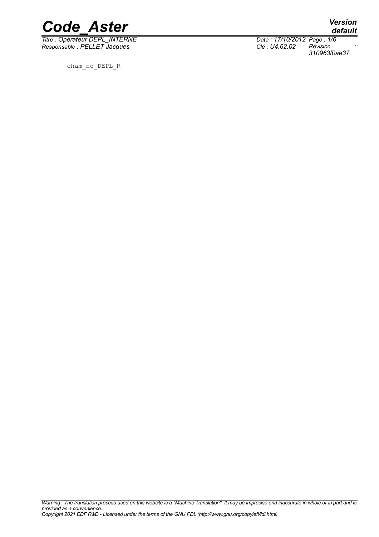

*Titre : Opérateur DEPL\_INTERNE Date : 17/10/2012 Page : 1/6*  $Responsable : PELLET Jacques$ 

cham\_no\_DEPL\_R

*default 310963f0ae37*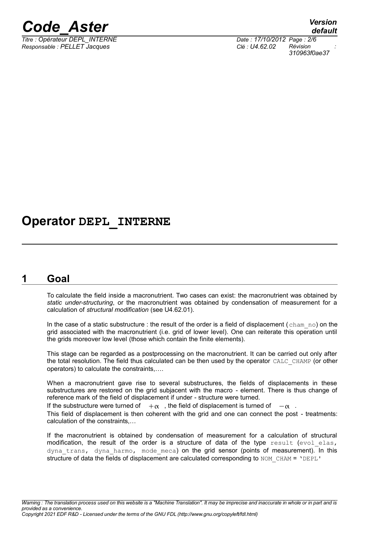

 $\overline{T}$ itre : Opérateur DEPL\_INTERNE *Responsable : PELLET Jacques Clé : U4.62.02 Révision :*

*310963f0ae37*

### **Operator DEPL\_INTERNE**

#### **1 Goal**

<span id="page-1-0"></span>To calculate the field inside a macronutrient. Two cases can exist: the macronutrient was obtained by *static under-structuring*, or the macronutrient was obtained by condensation of measurement for a calculation of *structural modification* (see U4.62.01).

In the case of a static substructure : the result of the order is a field of displacement (cham no) on the grid associated with the macronutrient (i.e. grid of lower level). One can reiterate this operation until the grids moreover low level (those which contain the finite elements).

This stage can be regarded as a postprocessing on the macronutrient. It can be carried out only after the total resolution. The field thus calculated can be then used by the operator CALC\_CHAMP (or other operators) to calculate the constraints,….

When a macronutrient gave rise to several substructures, the fields of displacements in these substructures are restored on the grid subjacent with the macro - element. There is thus change of reference mark of the field of displacement if under - structure were turned.

If the substructure were turned of  $+_{\alpha}$ , the field of displacement is turned of  $-_{\alpha}$ .

This field of displacement is then coherent with the grid and one can connect the post - treatments: calculation of the constraints,…

If the macronutrient is obtained by condensation of measurement for a calculation of structural modification, the result of the order is a structure of data of the type result (evol elas, dyna trans, dyna harmo, mode meca) on the grid sensor (points of measurement). In this structure of data the fields of displacement are calculated corresponding to  $NOM$  CHAM = 'DEPL'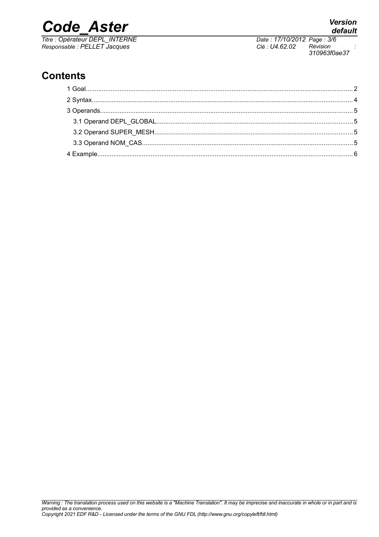*Titre : Opérateur DEPL\_INTERNE Date : 17/10/2012 Page : 3/6*

### **Contents**

*Responsable : PELLET Jacques Clé : U4.62.02 Révision : 310963f0ae37*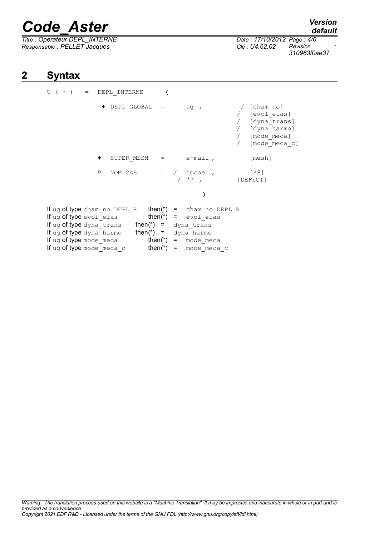*Titre : Opérateur DEPL\_INTERNE Date : 17/10/2012 Page : 4/6 Responsable : PELLET Jacques Clé : U4.62.02 Révision :*

### **2 Syntax**

<span id="page-3-0"></span>

| U $($ $*$ $)$                                                                                                                                                                                                                                                              |   | $=$ DEPL INTERNE                |  |                             |                                                                                                  |
|----------------------------------------------------------------------------------------------------------------------------------------------------------------------------------------------------------------------------------------------------------------------------|---|---------------------------------|--|-----------------------------|--------------------------------------------------------------------------------------------------|
|                                                                                                                                                                                                                                                                            |   | $\blacklozenge$ DEPL GLOBAL $=$ |  | $uq$ ,                      | [cham no]<br>/ [evol elas]<br>/ [dyna trans]<br>/ [dyna harmo]<br>/ [mode meca]<br>[mode meca c] |
|                                                                                                                                                                                                                                                                            |   | SUPER MESH $=$ $e$ -mail,       |  |                             | [mesh]                                                                                           |
|                                                                                                                                                                                                                                                                            | ♦ | NOM CAS                         |  | $=$ / nocas ,<br>$\sqrt{N}$ | [K8]<br>[DEFECT]                                                                                 |
|                                                                                                                                                                                                                                                                            |   |                                 |  |                             |                                                                                                  |
| If ug of type cham no DEPL R $then(*) = \text{cham no DEPL R}$<br>If ug of type $evol$ elas then(*) = $evol$ elas<br>If ug of type dyna trans $then(*) = \text{dyn}$ trans<br>If ug of type dyna harmo $then(*) = \text{dyn}$ harmo<br>If $\log$ of type mode meca then(*) |   |                                 |  | = mode meca                 |                                                                                                  |
| If ug of type mode meca c                                                                                                                                                                                                                                                  |   | <b>then(*)</b> = mode meca c    |  |                             |                                                                                                  |

### *default*

*310963f0ae37*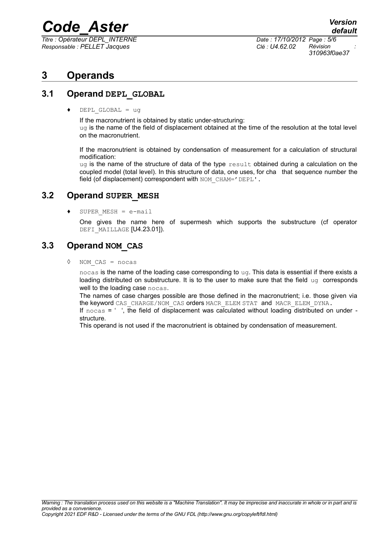$\overline{T}$ itre : Opérateur DEPL\_INTERNE *Responsable : PELLET Jacques Clé : U4.62.02 Révision :*

*310963f0ae37*

### <span id="page-4-3"></span>**3 Operands**

#### **3.1 Operand DEPL\_GLOBAL**

<span id="page-4-2"></span> $DEPL$  GLOBAL = ug

If the macronutrient is obtained by static under-structuring:  $uq$  is the name of the field of displacement obtained at the time of the resolution at the total level on the macronutrient.

If the macronutrient is obtained by condensation of measurement for a calculation of structural modification:

 $uq$  is the name of the structure of data of the type  $result$  obtained during a calculation on the coupled model (total level). In this structure of data, one uses, for cha that sequence number the field (of displacement) correspondent with NOM CHAM='DEPL'.

#### **3.2 Operand SUPER\_MESH**

<span id="page-4-1"></span> $\bullet$  SUPER MESH = e-mail

One gives the name here of supermesh which supports the substructure (cf operator DEFI\_MAILLAGE [U4.23.01]).

#### **3.3 Operand NOM\_CAS**

<span id="page-4-0"></span>◊ NOM\_CAS = nocas

nocas is the name of the loading case corresponding to ug. This data is essential if there exists a loading distributed on substructure. It is to the user to make sure that the field  $\mu q$  corresponds well to the loading case nocas.

The names of case charges possible are those defined in the macronutrient; i.e. those given via the keyword CAS\_CHARGE/NOM\_CAS orders MACR\_ELEM STAT and MACR\_ELEM\_DYNA.

If  $\text{ncas} = '$ , the field of displacement was calculated without loading distributed on under structure.

This operand is not used if the macronutrient is obtained by condensation of measurement.